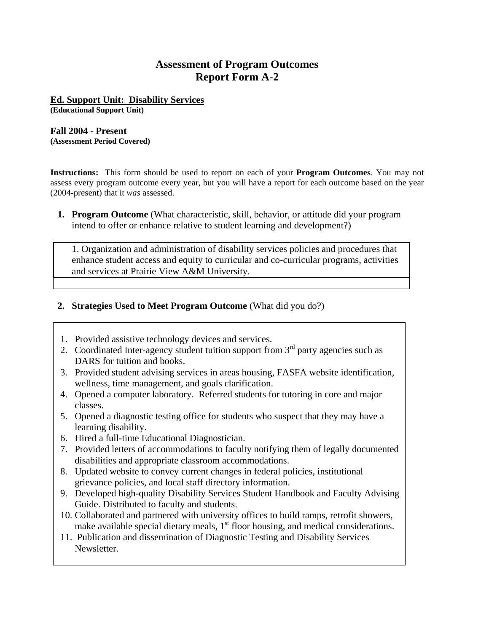## **Assessment of Program Outcomes Report Form A-2**

# **Ed. Support Unit: Disability Services**

**(Educational Support Unit)** 

#### **Fall 2004 - Present (Assessment Period Covered)**

**Instructions:** This form should be used to report on each of your **Program Outcomes**. You may not assess every program outcome every year, but you will have a report for each outcome based on the year (2004-present) that it *was* assessed.

**1. Program Outcome** (What characteristic, skill, behavior, or attitude did your program intend to offer or enhance relative to student learning and development?)

1. Organization and administration of disability services policies and procedures that enhance student access and equity to curricular and co-curricular programs, activities and services at Prairie View A&M University.

## **2. Strategies Used to Meet Program Outcome** (What did you do?)

- 1. Provided assistive technology devices and services.
- 2. Coordinated Inter-agency student tuition support from  $3<sup>rd</sup>$  party agencies such as DARS for tuition and books.
- 3. Provided student advising services in areas housing, FASFA website identification, wellness, time management, and goals clarification.
- 4. Opened a computer laboratory. Referred students for tutoring in core and major classes.
- 5. Opened a diagnostic testing office for students who suspect that they may have a learning disability.
- 6. Hired a full-time Educational Diagnostician.
- 7. Provided letters of accommodations to faculty notifying them of legally documented disabilities and appropriate classroom accommodations.
- 8. Updated website to convey current changes in federal policies, institutional grievance policies, and local staff directory information.
- 9. Developed high-quality Disability Services Student Handbook and Faculty Advising Guide. Distributed to faculty and students.
- 10. Collaborated and partnered with university offices to build ramps, retrofit showers, make available special dietary meals,  $1<sup>st</sup>$  floor housing, and medical considerations.
- 11. Publication and dissemination of Diagnostic Testing and Disability Services Newsletter.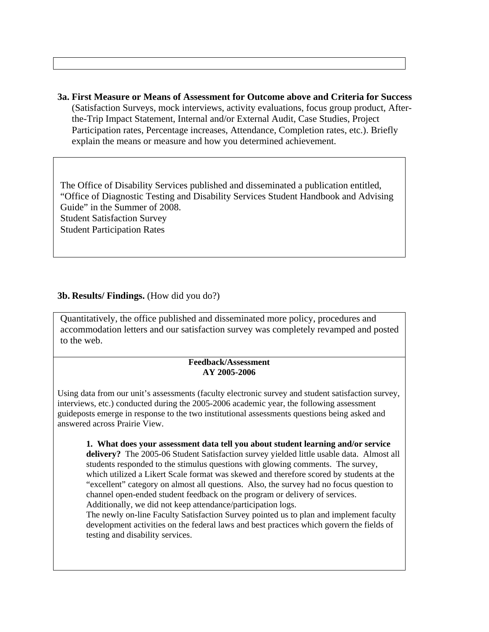**3a. First Measure or Means of Assessment for Outcome above and Criteria for Success** (Satisfaction Surveys, mock interviews, activity evaluations, focus group product, Afterthe-Trip Impact Statement, Internal and/or External Audit, Case Studies, Project Participation rates, Percentage increases, Attendance, Completion rates, etc.). Briefly explain the means or measure and how you determined achievement.

The Office of Disability Services published and disseminated a publication entitled, "Office of Diagnostic Testing and Disability Services Student Handbook and Advising Guide" in the Summer of 2008. Student Satisfaction Survey Student Participation Rates

### **3b. Results/ Findings.** (How did you do?)

Quantitatively, the office published and disseminated more policy, procedures and accommodation letters and our satisfaction survey was completely revamped and posted to the web.

#### **Feedback/Assessment AY 2005-2006**

Using data from our unit's assessments (faculty electronic survey and student satisfaction survey, interviews, etc.) conducted during the 2005-2006 academic year, the following assessment guideposts emerge in response to the two institutional assessments questions being asked and answered across Prairie View.

**1. What does your assessment data tell you about student learning and/or service delivery?** The 2005-06 Student Satisfaction survey yielded little usable data. Almost all students responded to the stimulus questions with glowing comments. The survey, which utilized a Likert Scale format was skewed and therefore scored by students at the "excellent" category on almost all questions. Also, the survey had no focus question to channel open-ended student feedback on the program or delivery of services. Additionally, we did not keep attendance/participation logs.

The newly on-line Faculty Satisfaction Survey pointed us to plan and implement faculty development activities on the federal laws and best practices which govern the fields of testing and disability services.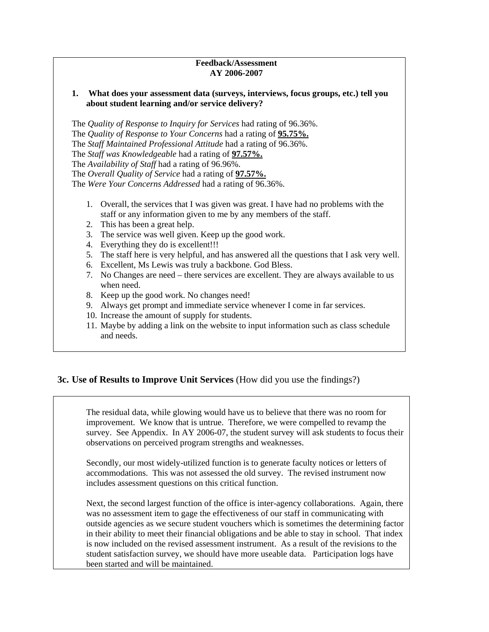### **Feedback/Assessment AY 2006-2007**

#### **1. What does your assessment data (surveys, interviews, focus groups, etc.) tell you about student learning and/or service delivery?**

The *Quality of Response to Inquiry for Services* had rating of 96.36%. The *Quality of Response to Your Concerns* had a rating of **95.75%.** The *Staff Maintained Professional Attitude* had a rating of 96.36%. The *Staff was Knowledgeable* had a rating of **97.57%.** The *Availability of Staff* had a rating of 96.96%. The *Overall Quality of Service* had a rating of **97.57%.** The *Were Your Concerns Addressed* had a rating of 96.36%.

- 1. Overall, the services that I was given was great. I have had no problems with the staff or any information given to me by any members of the staff.
- 2. This has been a great help.
- 3. The service was well given. Keep up the good work.
- 4. Everything they do is excellent!!!
- 5. The staff here is very helpful, and has answered all the questions that I ask very well.
- 6. Excellent, Ms Lewis was truly a backbone. God Bless.
- 7. No Changes are need there services are excellent. They are always available to us when need.
- 8. Keep up the good work. No changes need!
- 9. Always get prompt and immediate service whenever I come in far services.
- 10. Increase the amount of supply for students.
- 11. Maybe by adding a link on the website to input information such as class schedule and needs.

## **3c. Use of Results to Improve Unit Services** (How did you use the findings?)

The residual data, while glowing would have us to believe that there was no room for improvement. We know that is untrue. Therefore, we were compelled to revamp the survey. See Appendix. In AY 2006-07, the student survey will ask students to focus their observations on perceived program strengths and weaknesses.

Secondly, our most widely-utilized function is to generate faculty notices or letters of accommodations. This was not assessed the old survey. The revised instrument now includes assessment questions on this critical function.

Next, the second largest function of the office is inter-agency collaborations. Again, there was no assessment item to gage the effectiveness of our staff in communicating with outside agencies as we secure student vouchers which is sometimes the determining factor in their ability to meet their financial obligations and be able to stay in school. That index is now included on the revised assessment instrument. As a result of the revisions to the student satisfaction survey, we should have more useable data. Participation logs have been started and will be maintained.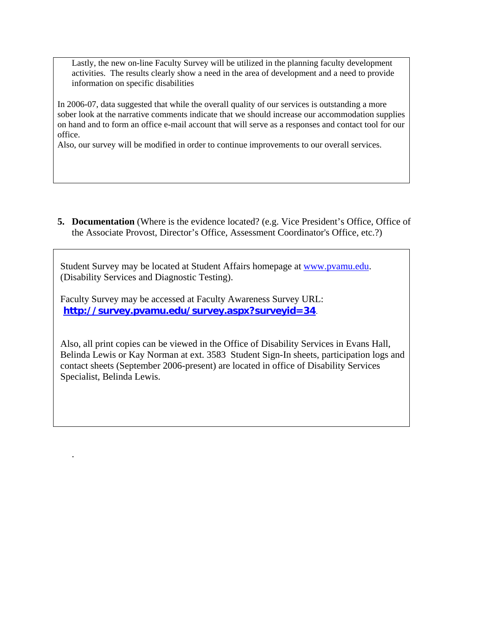Lastly, the new on-line Faculty Survey will be utilized in the planning faculty development activities. The results clearly show a need in the area of development and a need to provide information on specific disabilities

In 2006-07, data suggested that while the overall quality of our services is outstanding a more sober look at the narrative comments indicate that we should increase our accommodation supplies on hand and to form an office e-mail account that will serve as a responses and contact tool for our office.

Also, our survey will be modified in order to continue improvements to our overall services.

**5. Documentation** (Where is the evidence located? (e.g. Vice President's Office, Office of the Associate Provost, Director's Office, Assessment Coordinator's Office, etc.?)

Student Survey may be located at Student Affairs homepage at [www.pvamu.edu](http://www.pvamu.edu/). (Disability Services and Diagnostic Testing).

Faculty Survey may be accessed at Faculty Awareness Survey URL: **<http://survey.pvamu.edu/survey.aspx?surveyid=34>**.

.

Also, all print copies can be viewed in the Office of Disability Services in Evans Hall, Belinda Lewis or Kay Norman at ext. 3583 Student Sign-In sheets, participation logs and contact sheets (September 2006-present) are located in office of Disability Services Specialist, Belinda Lewis.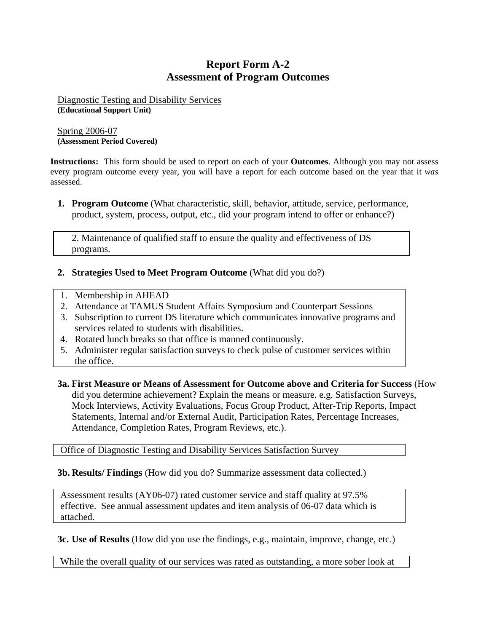## **Report Form A-2 Assessment of Program Outcomes**

Diagnostic Testing and Disability Services **(Educational Support Unit)** 

Spring 2006-07 **(Assessment Period Covered)** 

**Instructions:** This form should be used to report on each of your **Outcomes**. Although you may not assess every program outcome every year, you will have a report for each outcome based on the year that it *was* assessed.

**1. Program Outcome** (What characteristic, skill, behavior, attitude, service, performance, product, system, process, output, etc., did your program intend to offer or enhance?)

2. Maintenance of qualified staff to ensure the quality and effectiveness of DS programs.

- **2. Strategies Used to Meet Program Outcome** (What did you do?)
- 1. Membership in AHEAD
- 2. Attendance at TAMUS Student Affairs Symposium and Counterpart Sessions
- 3. Subscription to current DS literature which communicates innovative programs and services related to students with disabilities.
- 4. Rotated lunch breaks so that office is manned continuously.
- 5. Administer regular satisfaction surveys to check pulse of customer services within the office.
- **3a. First Measure or Means of Assessment for Outcome above and Criteria for Success** (How did you determine achievement? Explain the means or measure. e.g. Satisfaction Surveys, Mock Interviews, Activity Evaluations, Focus Group Product, After-Trip Reports, Impact Statements, Internal and/or External Audit, Participation Rates, Percentage Increases, Attendance, Completion Rates, Program Reviews, etc.).

Office of Diagnostic Testing and Disability Services Satisfaction Survey

**3b. Results/ Findings** (How did you do? Summarize assessment data collected.)

Assessment results (AY06-07) rated customer service and staff quality at 97.5% effective. See annual assessment updates and item analysis of 06-07 data which is attached.

**3c. Use of Results** (How did you use the findings, e.g., maintain, improve, change, etc.)

While the overall quality of our services was rated as outstanding, a more sober look at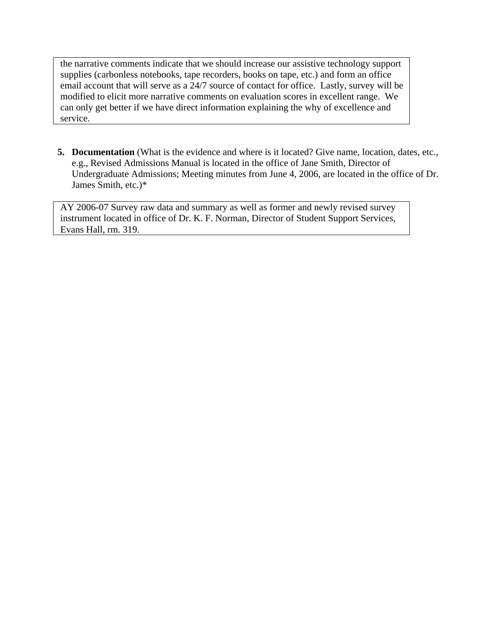the narrative comments indicate that we should increase our assistive technology support supplies (carbonless notebooks, tape recorders, books on tape, etc.) and form an office email account that will serve as a 24/7 source of contact for office. Lastly, survey will be modified to elicit more narrative comments on evaluation scores in excellent range. We can only get better if we have direct information explaining the why of excellence and service.

**5. Documentation** (What is the evidence and where is it located? Give name, location, dates, etc., e.g., Revised Admissions Manual is located in the office of Jane Smith, Director of Undergraduate Admissions; Meeting minutes from June 4, 2006, are located in the office of Dr. James Smith, etc.)\*

AY 2006-07 Survey raw data and summary as well as former and newly revised survey instrument located in office of Dr. K. F. Norman, Director of Student Support Services, Evans Hall, rm. 319.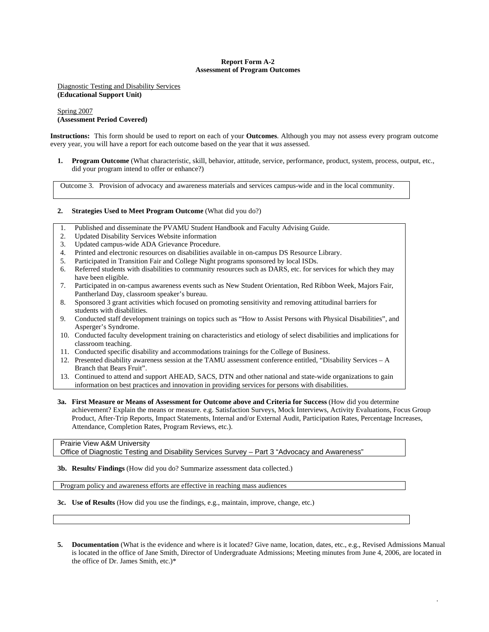#### **Report Form A-2 Assessment of Program Outcomes**

Diagnostic Testing and Disability Services **(Educational Support Unit)** 

#### Spring 2007 **(Assessment Period Covered)**

**Instructions:** This form should be used to report on each of your **Outcomes**. Although you may not assess every program outcome every year, you will have a report for each outcome based on the year that it *was* assessed.

**1. Program Outcome** (What characteristic, skill, behavior, attitude, service, performance, product, system, process, output, etc., did your program intend to offer or enhance?)

Outcome 3. Provision of advocacy and awareness materials and services campus-wide and in the local community.

#### **2. Strategies Used to Meet Program Outcome** (What did you do?)

- 1. Published and disseminate the PVAMU Student Handbook and Faculty Advising Guide.
- 2. Updated Disability Services Website information
- 3. Updated campus-wide ADA Grievance Procedure.
- 4. Printed and electronic resources on disabilities available in on-campus DS Resource Library.
- 5. Participated in Transition Fair and College Night programs sponsored by local ISDs.
- 6. Referred students with disabilities to community resources such as DARS, etc. for services for which they may have been eligible.
- 7. Participated in on-campus awareness events such as New Student Orientation, Red Ribbon Week, Majors Fair, Pantherland Day, classroom speaker's bureau.
- 8. Sponsored 3 grant activities which focused on promoting sensitivity and removing attitudinal barriers for students with disabilities.
- 9. Conducted staff development trainings on topics such as "How to Assist Persons with Physical Disabilities", and Asperger's Syndrome.
- 10. Conducted faculty development training on characteristics and etiology of select disabilities and implications for classroom teaching.
- 11. Conducted specific disability and accommodations trainings for the College of Business.
- 12. Presented disability awareness session at the TAMU assessment conference entitled, "Disability Services A Branch that Bears Fruit".
- 13. Continued to attend and support AHEAD, SACS, DTN and other national and state-wide organizations to gain information on best practices and innovation in providing services for persons with disabilities.
- **3a. First Measure or Means of Assessment for Outcome above and Criteria for Success** (How did you determine achievement? Explain the means or measure. e.g. Satisfaction Surveys, Mock Interviews, Activity Evaluations, Focus Group Product, After-Trip Reports, Impact Statements, Internal and/or External Audit, Participation Rates, Percentage Increases, Attendance, Completion Rates, Program Reviews, etc.).

## Prairie View A&M University

Office of Diagnostic Testing and Disability Services Survey – Part 3 "Advocacy and Awareness"

**3b. Results/ Findings** (How did you do? Summarize assessment data collected.)

Program policy and awareness efforts are effective in reaching mass audiences

**3c. Use of Results** (How did you use the findings, e.g., maintain, improve, change, etc.)

**5. Documentation** (What is the evidence and where is it located? Give name, location, dates, etc., e.g., Revised Admissions Manual is located in the office of Jane Smith, Director of Undergraduate Admissions; Meeting minutes from June 4, 2006, are located in the office of Dr. James Smith, etc.)\*

.